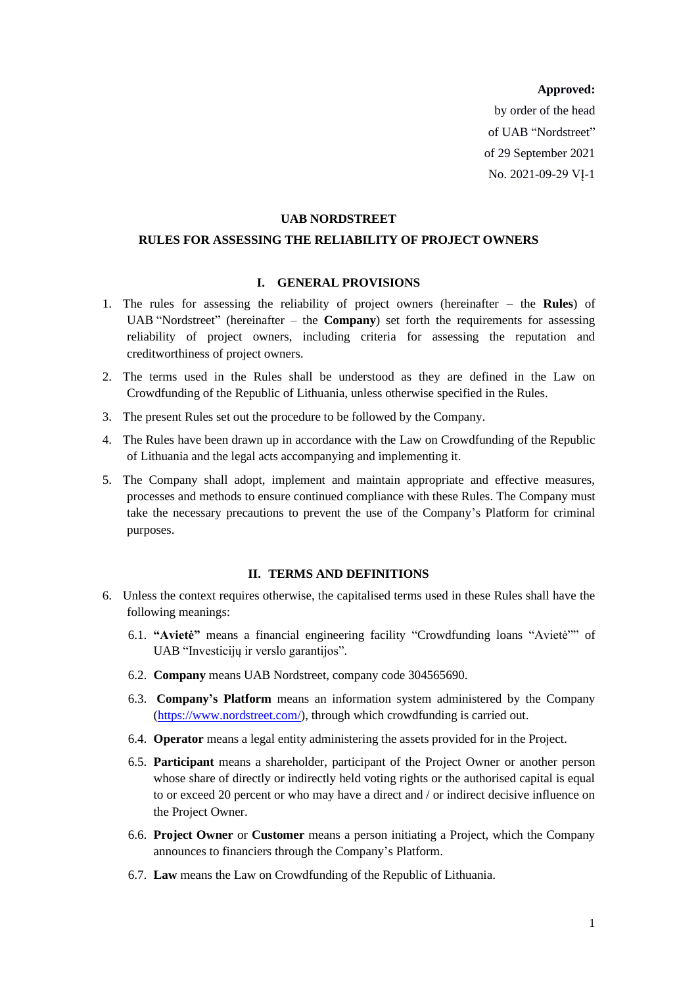#### **Approved:**

by order of the head of UAB "Nordstreet" of 29 September 2021 No. 2021-09-29 VĮ-1

#### **UAB NORDSTREET**

#### **RULES FOR ASSESSING THE RELIABILITY OF PROJECT OWNERS**

## **I. GENERAL PROVISIONS**

- 1. The rules for assessing the reliability of project owners (hereinafter the **Rules**) of UAB "Nordstreet" (hereinafter – the **Company**) set forth the requirements for assessing reliability of project owners, including criteria for assessing the reputation and creditworthiness of project owners.
- 2. The terms used in the Rules shall be understood as they are defined in the Law on Crowdfunding of the Republic of Lithuania, unless otherwise specified in the Rules.
- 3. The present Rules set out the procedure to be followed by the Company.
- 4. The Rules have been drawn up in accordance with the Law on Crowdfunding of the Republic of Lithuania and the legal acts accompanying and implementing it.
- 5. The Company shall adopt, implement and maintain appropriate and effective measures, processes and methods to ensure continued compliance with these Rules. The Company must take the necessary precautions to prevent the use of the Company's Platform for criminal purposes.

## **II. TERMS AND DEFINITIONS**

- 6. Unless the context requires otherwise, the capitalised terms used in these Rules shall have the following meanings:
	- 6.1. **"Avietė"** means a financial engineering facility "Crowdfunding loans "Avietė"" of UAB "Investicijų ir verslo garantijos".
	- 6.2. **Company** means UAB Nordstreet, company code 304565690.
	- 6.3. **Company's Platform** means an information system administered by the Company [\(https://www.nordstreet.com/\)](https://www.nordstreet.com/), through which crowdfunding is carried out.
	- 6.4. **Operator** means a legal entity administering the assets provided for in the Project.
	- 6.5. **Participant** means a shareholder, participant of the Project Owner or another person whose share of directly or indirectly held voting rights or the authorised capital is equal to or exceed 20 percent or who may have a direct and / or indirect decisive influence on the Project Owner.
	- 6.6. **Project Owner** or **Customer** means a person initiating a Project, which the Company announces to financiers through the Company's Platform.
	- 6.7. **Law** means the Law on Crowdfunding of the Republic of Lithuania.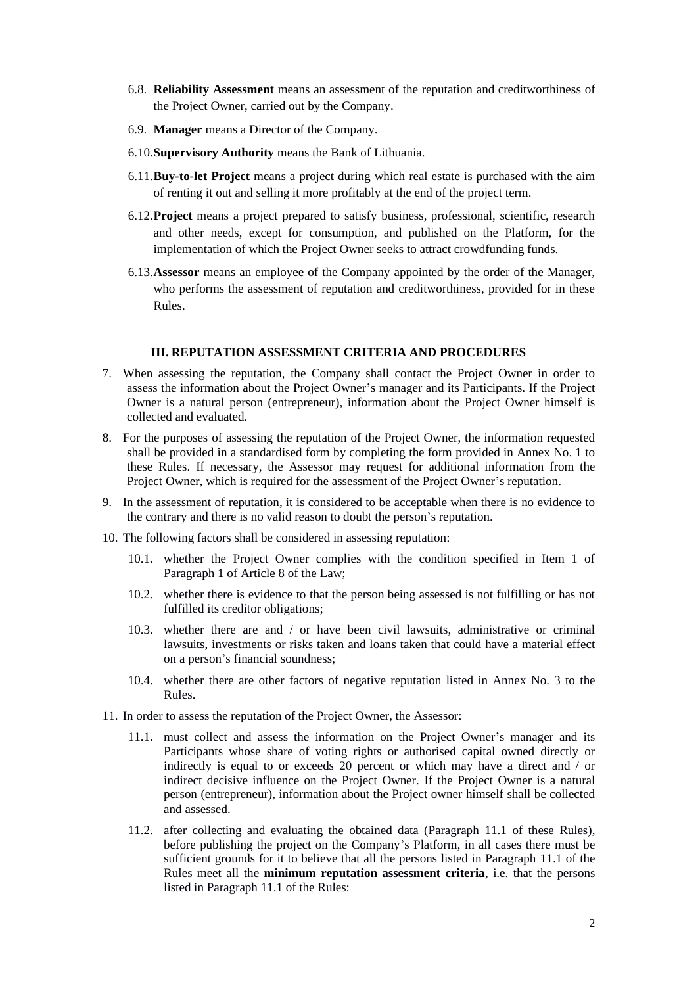- 6.8. **Reliability Assessment** means an assessment of the reputation and creditworthiness of the Project Owner, carried out by the Company.
- 6.9. **Manager** means a Director of the Company.
- 6.10.**Supervisory Authority** means the Bank of Lithuania.
- 6.11.**Buy-to-let Project** means a project during which real estate is purchased with the aim of renting it out and selling it more profitably at the end of the project term.
- 6.12.**Project** means a project prepared to satisfy business, professional, scientific, research and other needs, except for consumption, and published on the Platform, for the implementation of which the Project Owner seeks to attract crowdfunding funds.
- 6.13.**Assessor** means an employee of the Company appointed by the order of the Manager, who performs the assessment of reputation and creditworthiness, provided for in these Rules.

#### **III. REPUTATION ASSESSMENT CRITERIA AND PROCEDURES**

- 7. When assessing the reputation, the Company shall contact the Project Owner in order to assess the information about the Project Owner's manager and its Participants. If the Project Owner is a natural person (entrepreneur), information about the Project Owner himself is collected and evaluated.
- 8. For the purposes of assessing the reputation of the Project Owner, the information requested shall be provided in a standardised form by completing the form provided in Annex No. 1 to these Rules. If necessary, the Assessor may request for additional information from the Project Owner, which is required for the assessment of the Project Owner's reputation.
- 9. In the assessment of reputation, it is considered to be acceptable when there is no evidence to the contrary and there is no valid reason to doubt the person's reputation.
- 10. The following factors shall be considered in assessing reputation:
	- 10.1. whether the Project Owner complies with the condition specified in Item 1 of Paragraph 1 of Article 8 of the Law;
	- 10.2. whether there is evidence to that the person being assessed is not fulfilling or has not fulfilled its creditor obligations;
	- 10.3. whether there are and / or have been civil lawsuits, administrative or criminal lawsuits, investments or risks taken and loans taken that could have a material effect on a person's financial soundness;
	- 10.4. whether there are other factors of negative reputation listed in Annex No. 3 to the Rules.
- <span id="page-1-1"></span><span id="page-1-0"></span>11. In order to assess the reputation of the Project Owner, the Assessor:
	- 11.1. must collect and assess the information on the Project Owner's manager and its Participants whose share of voting rights or authorised capital owned directly or indirectly is equal to or exceeds 20 percent or which may have a direct and / or indirect decisive influence on the Project Owner. If the Project Owner is a natural person (entrepreneur), information about the Project owner himself shall be collected and assessed.
	- 11.2. after collecting and evaluating the obtained data (Paragraph [11.1](#page-1-0) of these Rules), before publishing the project on the Company's Platform, in all cases there must be sufficient grounds for it to believe that all the persons listed in Paragraph [11.1](#page-1-0) of the Rules meet all the **minimum reputation assessment criteria**, i.e. that the persons listed in Paragraph [11.1](#page-1-0) of the Rules: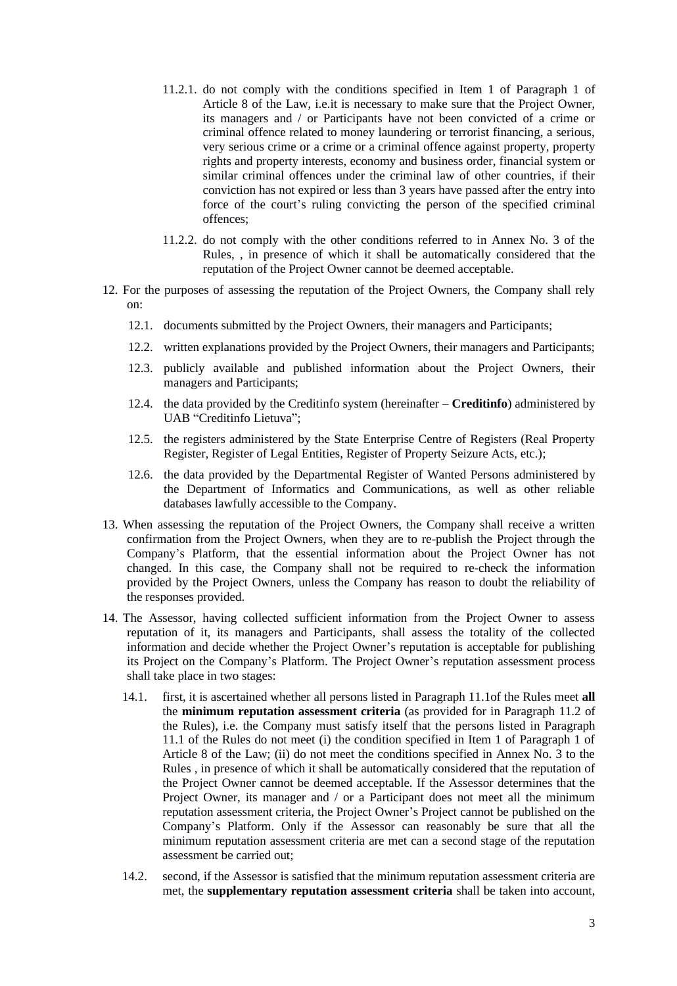- 11.2.1. do not comply with the conditions specified in Item 1 of Paragraph 1 of Article 8 of the Law, i.e.it is necessary to make sure that the Project Owner, its managers and / or Participants have not been convicted of a crime or criminal offence related to money laundering or terrorist financing, a serious, very serious crime or a crime or a criminal offence against property, property rights and property interests, economy and business order, financial system or similar criminal offences under the criminal law of other countries, if their conviction has not expired or less than 3 years have passed after the entry into force of the court's ruling convicting the person of the specified criminal offences;
- 11.2.2. do not comply with the other conditions referred to in Annex No. 3 of the Rules, , in presence of which it shall be automatically considered that the reputation of the Project Owner cannot be deemed acceptable.
- 12. For the purposes of assessing the reputation of the Project Owners, the Company shall rely on:
	- 12.1. documents submitted by the Project Owners, their managers and Participants;
	- 12.2. written explanations provided by the Project Owners, their managers and Participants;
	- 12.3. publicly available and published information about the Project Owners, their managers and Participants;
	- 12.4. the data provided by the Creditinfo system (hereinafter **Creditinfo**) administered by UAB "Creditinfo Lietuva";
	- 12.5. the registers administered by the State Enterprise Centre of Registers (Real Property Register, Register of Legal Entities, Register of Property Seizure Acts, etc.);
	- 12.6. the data provided by the Departmental Register of Wanted Persons administered by the Department of Informatics and Communications, as well as other reliable databases lawfully accessible to the Company.
- 13. When assessing the reputation of the Project Owners, the Company shall receive a written confirmation from the Project Owners, when they are to re-publish the Project through the Company's Platform, that the essential information about the Project Owner has not changed. In this case, the Company shall not be required to re-check the information provided by the Project Owners, unless the Company has reason to doubt the reliability of the responses provided.
- 14. The Assessor, having collected sufficient information from the Project Owner to assess reputation of it, its managers and Participants, shall assess the totality of the collected information and decide whether the Project Owner's reputation is acceptable for publishing its Project on the Company's Platform. The Project Owner's reputation assessment process shall take place in two stages:
	- 14.1. first, it is ascertained whether all persons listed in Paragraph [11.1o](#page-1-0)f the Rules meet **all** the **minimum reputation assessment criteria** (as provided for in Paragraph [11.2](#page-1-1) of the Rules), i.e. the Company must satisfy itself that the persons listed in Paragraph [11.1](#page-1-0) of the Rules do not meet (i) the condition specified in Item 1 of Paragraph 1 of Article 8 of the Law; (ii) do not meet the conditions specified in Annex No. 3 to the Rules , in presence of which it shall be automatically considered that the reputation of the Project Owner cannot be deemed acceptable. If the Assessor determines that the Project Owner, its manager and / or a Participant does not meet all the minimum reputation assessment criteria, the Project Owner's Project cannot be published on the Company's Platform. Only if the Assessor can reasonably be sure that all the minimum reputation assessment criteria are met can a second stage of the reputation assessment be carried out;
	- 14.2. second, if the Assessor is satisfied that the minimum reputation assessment criteria are met, the **supplementary reputation assessment criteria** shall be taken into account,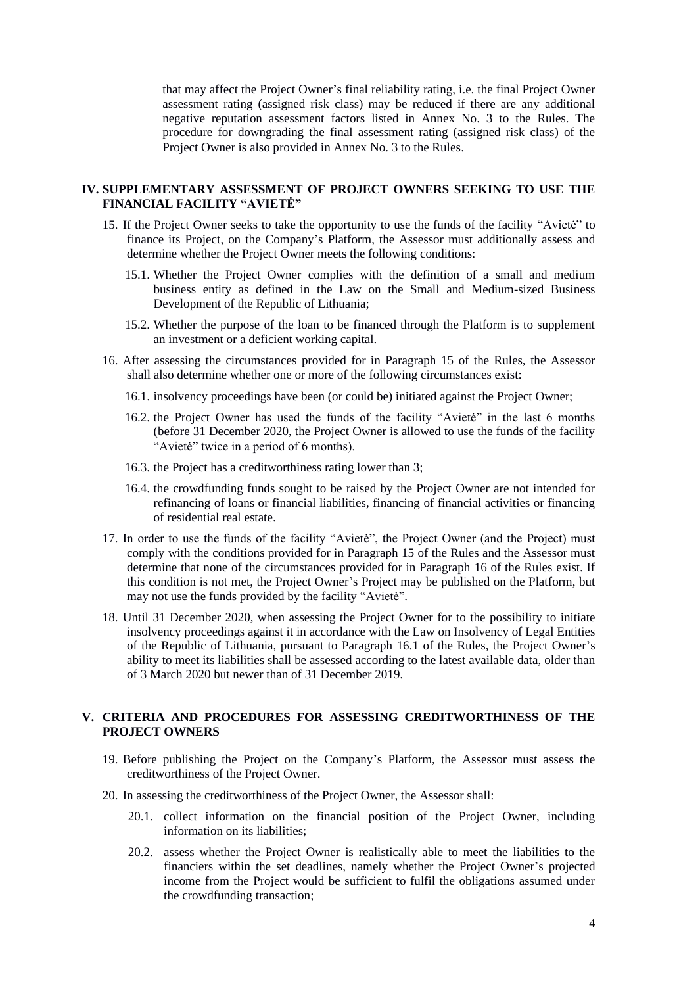that may affect the Project Owner's final reliability rating, i.e. the final Project Owner assessment rating (assigned risk class) may be reduced if there are any additional negative reputation assessment factors listed in Annex No. 3 to the Rules. The procedure for downgrading the final assessment rating (assigned risk class) of the Project Owner is also provided in Annex No. 3 to the Rules.

## **IV. SUPPLEMENTARY ASSESSMENT OF PROJECT OWNERS SEEKING TO USE THE FINANCIAL FACILITY "AVIETĖ"**

- <span id="page-3-0"></span>15. If the Project Owner seeks to take the opportunity to use the funds of the facility "Avietė" to finance its Project, on the Company's Platform, the Assessor must additionally assess and determine whether the Project Owner meets the following conditions:
	- 15.1. Whether the Project Owner complies with the definition of a small and medium business entity as defined in the Law on the Small and Medium-sized Business Development of the Republic of Lithuania;
	- 15.2. Whether the purpose of the loan to be financed through the Platform is to supplement an investment or a deficient working capital.
- <span id="page-3-2"></span><span id="page-3-1"></span>16. After assessing the circumstances provided for in Paragraph [15](#page-3-0) of the Rules, the Assessor shall also determine whether one or more of the following circumstances exist:
	- 16.1. insolvency proceedings have been (or could be) initiated against the Project Owner;
	- 16.2. the Project Owner has used the funds of the facility "Avietė" in the last 6 months (before 31 December 2020, the Project Owner is allowed to use the funds of the facility "Avietė" twice in a period of 6 months).
	- 16.3. the Project has a creditworthiness rating lower than 3;
	- 16.4. the crowdfunding funds sought to be raised by the Project Owner are not intended for refinancing of loans or financial liabilities, financing of financial activities or financing of residential real estate.
- 17. In order to use the funds of the facility "Avietė", the Project Owner (and the Project) must comply with the conditions provided for in Paragraph [15](#page-3-0) of the Rules and the Assessor must determine that none of the circumstances provided for in Paragraph [16](#page-3-1) of the Rules exist. If this condition is not met, the Project Owner's Project may be published on the Platform, but may not use the funds provided by the facility "Avietė".
- 18. Until 31 December 2020, when assessing the Project Owner for to the possibility to initiate insolvency proceedings against it in accordance with the Law on Insolvency of Legal Entities of the Republic of Lithuania, pursuant to Paragraph [16.1](#page-3-2) of the Rules, the Project Owner's ability to meet its liabilities shall be assessed according to the latest available data, older than of 3 March 2020 but newer than of 31 December 2019.

#### **V. CRITERIA AND PROCEDURES FOR ASSESSING CREDITWORTHINESS OF THE PROJECT OWNERS**

- 19. Before publishing the Project on the Company's Platform, the Assessor must assess the creditworthiness of the Project Owner.
- <span id="page-3-3"></span>20. In assessing the creditworthiness of the Project Owner, the Assessor shall:
	- 20.1. collect information on the financial position of the Project Owner, including information on its liabilities;
	- 20.2. assess whether the Project Owner is realistically able to meet the liabilities to the financiers within the set deadlines, namely whether the Project Owner's projected income from the Project would be sufficient to fulfil the obligations assumed under the crowdfunding transaction;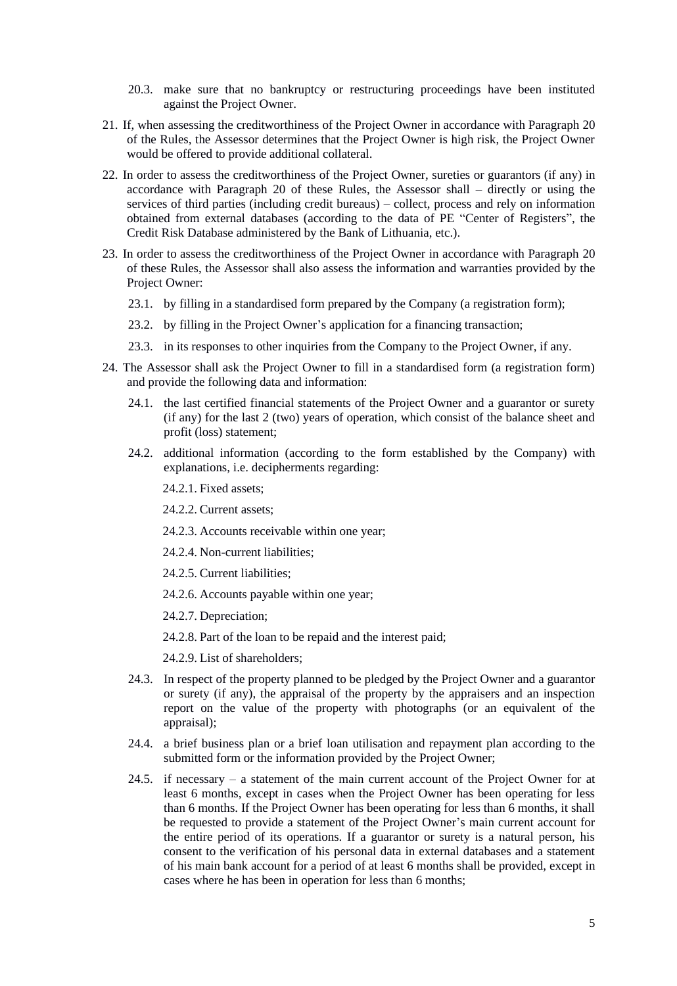- 20.3. make sure that no bankruptcy or restructuring proceedings have been instituted against the Project Owner.
- 21. If, when assessing the creditworthiness of the Project Owner in accordance with Paragraph [20](#page-3-3) of the Rules, the Assessor determines that the Project Owner is high risk, the Project Owner would be offered to provide additional collateral.
- 22. In order to assess the creditworthiness of the Project Owner, sureties or guarantors (if any) in accordance with Paragraph [20](#page-3-3) of these Rules, the Assessor shall – directly or using the services of third parties (including credit bureaus) – collect, process and rely on information obtained from external databases (according to the data of PE "Center of Registers", the Credit Risk Database administered by the Bank of Lithuania, etc.).
- 23. In order to assess the creditworthiness of the Project Owner in accordance with Paragraph [20](#page-3-3) of these Rules, the Assessor shall also assess the information and warranties provided by the Project Owner:
	- 23.1. by filling in a standardised form prepared by the Company (a registration form);
	- 23.2. by filling in the Project Owner's application for a financing transaction;
	- 23.3. in its responses to other inquiries from the Company to the Project Owner, if any.
- 24. The Assessor shall ask the Project Owner to fill in a standardised form (a registration form) and provide the following data and information:
	- 24.1. the last certified financial statements of the Project Owner and a guarantor or surety (if any) for the last 2 (two) years of operation, which consist of the balance sheet and profit (loss) statement;
	- 24.2. additional information (according to the form established by the Company) with explanations, i.e. decipherments regarding:
		- 24.2.1. Fixed assets;
		- 24.2.2. Current assets;
		- 24.2.3. Accounts receivable within one year;
		- 24.2.4. Non-current liabilities;
		- 24.2.5. Current liabilities;
		- 24.2.6. Accounts payable within one year;
		- 24.2.7. Depreciation;
		- 24.2.8. Part of the loan to be repaid and the interest paid;
		- 24.2.9. List of shareholders;
	- 24.3. In respect of the property planned to be pledged by the Project Owner and a guarantor or surety (if any), the appraisal of the property by the appraisers and an inspection report on the value of the property with photographs (or an equivalent of the appraisal);
	- 24.4. a brief business plan or a brief loan utilisation and repayment plan according to the submitted form or the information provided by the Project Owner;
	- 24.5. if necessary a statement of the main current account of the Project Owner for at least 6 months, except in cases when the Project Owner has been operating for less than 6 months. If the Project Owner has been operating for less than 6 months, it shall be requested to provide a statement of the Project Owner's main current account for the entire period of its operations. If a guarantor or surety is a natural person, his consent to the verification of his personal data in external databases and a statement of his main bank account for a period of at least 6 months shall be provided, except in cases where he has been in operation for less than 6 months;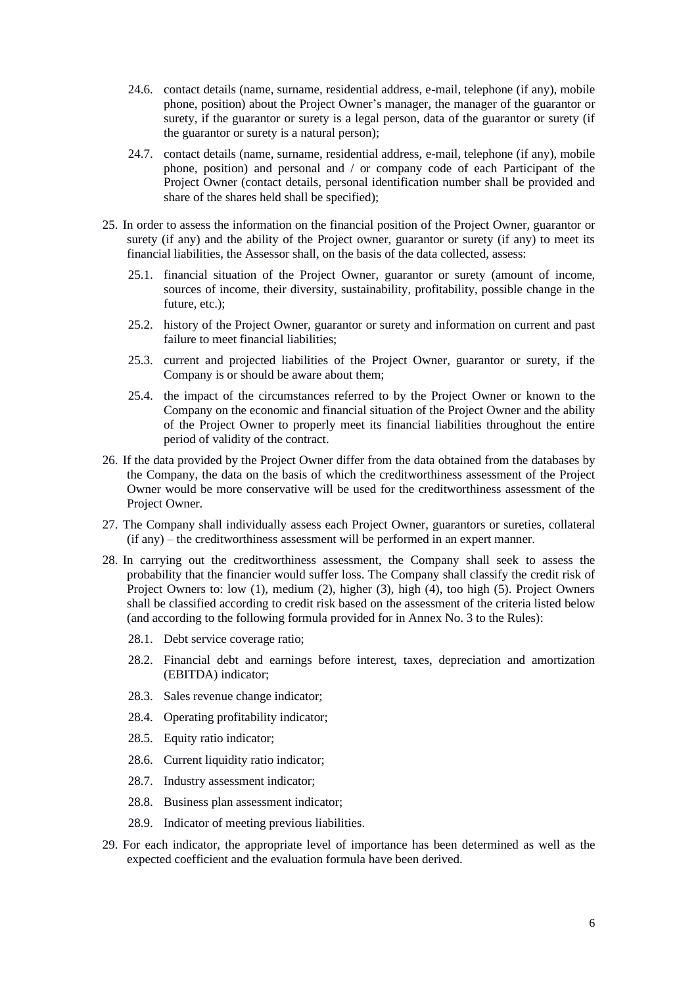- 24.6. contact details (name, surname, residential address, e-mail, telephone (if any), mobile phone, position) about the Project Owner's manager, the manager of the guarantor or surety, if the guarantor or surety is a legal person, data of the guarantor or surety (if the guarantor or surety is a natural person);
- 24.7. contact details (name, surname, residential address, e-mail, telephone (if any), mobile phone, position) and personal and / or company code of each Participant of the Project Owner (contact details, personal identification number shall be provided and share of the shares held shall be specified);
- 25. In order to assess the information on the financial position of the Project Owner, guarantor or surety (if any) and the ability of the Project owner, guarantor or surety (if any) to meet its financial liabilities, the Assessor shall, on the basis of the data collected, assess:
	- 25.1. financial situation of the Project Owner, guarantor or surety (amount of income, sources of income, their diversity, sustainability, profitability, possible change in the future, etc.);
	- 25.2. history of the Project Owner, guarantor or surety and information on current and past failure to meet financial liabilities;
	- 25.3. current and projected liabilities of the Project Owner, guarantor or surety, if the Company is or should be aware about them;
	- 25.4. the impact of the circumstances referred to by the Project Owner or known to the Company on the economic and financial situation of the Project Owner and the ability of the Project Owner to properly meet its financial liabilities throughout the entire period of validity of the contract.
- 26. If the data provided by the Project Owner differ from the data obtained from the databases by the Company, the data on the basis of which the creditworthiness assessment of the Project Owner would be more conservative will be used for the creditworthiness assessment of the Project Owner.
- 27. The Company shall individually assess each Project Owner, guarantors or sureties, collateral (if any) – the creditworthiness assessment will be performed in an expert manner.
- <span id="page-5-0"></span>28. In carrying out the creditworthiness assessment, the Company shall seek to assess the probability that the financier would suffer loss. The Company shall classify the credit risk of Project Owners to: low (1), medium (2), higher (3), high (4), too high (5). Project Owners shall be classified according to credit risk based on the assessment of the criteria listed below (and according to the following formula provided for in Annex No. 3 to the Rules):
	- 28.1. Debt service coverage ratio;
	- 28.2. Financial debt and earnings before interest, taxes, depreciation and amortization (EBITDA) indicator;
	- 28.3. Sales revenue change indicator;
	- 28.4. Operating profitability indicator;
	- 28.5. Equity ratio indicator;
	- 28.6. Current liquidity ratio indicator;
	- 28.7. Industry assessment indicator;
	- 28.8. Business plan assessment indicator;
	- 28.9. Indicator of meeting previous liabilities.
- 29. For each indicator, the appropriate level of importance has been determined as well as the expected coefficient and the evaluation formula have been derived.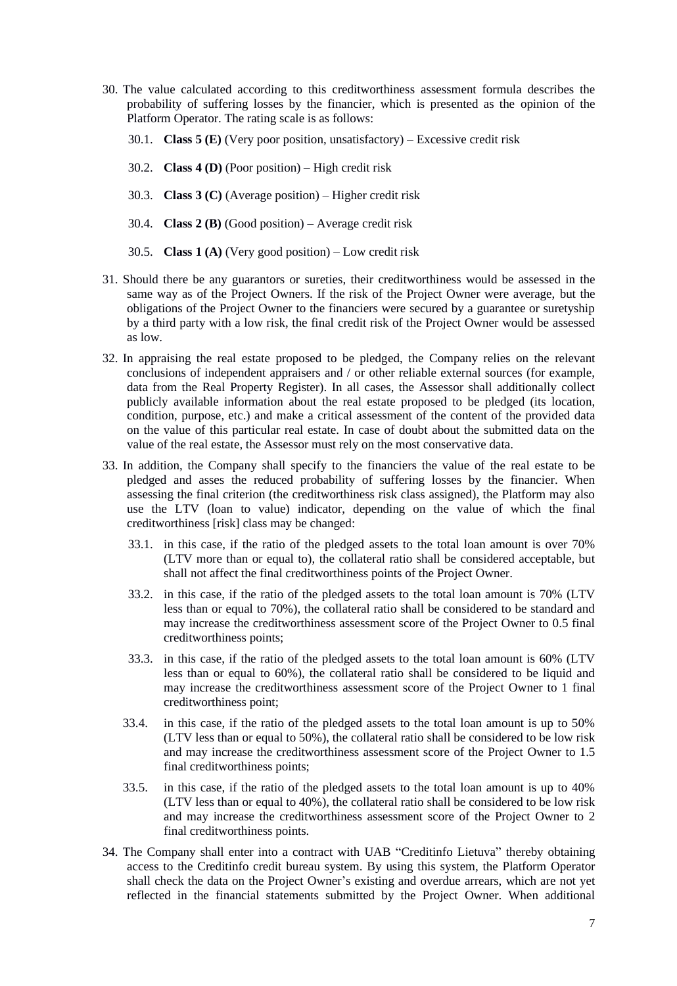- 30. The value calculated according to this creditworthiness assessment formula describes the probability of suffering losses by the financier, which is presented as the opinion of the Platform Operator. The rating scale is as follows:
	- 30.1. **Class 5 (E)** (Very poor position, unsatisfactory) Excessive credit risk
	- 30.2. **Class 4 (D)** (Poor position) High credit risk
	- 30.3. **Class 3 (C)** (Average position) Higher credit risk
	- 30.4. **Class 2 (B)** (Good position) Average credit risk
	- 30.5. **Class 1 (A)** (Very good position) Low credit risk
- 31. Should there be any guarantors or sureties, their creditworthiness would be assessed in the same way as of the Project Owners. If the risk of the Project Owner were average, but the obligations of the Project Owner to the financiers were secured by a guarantee or suretyship by a third party with a low risk, the final credit risk of the Project Owner would be assessed as low.
- 32. In appraising the real estate proposed to be pledged, the Company relies on the relevant conclusions of independent appraisers and / or other reliable external sources (for example, data from the Real Property Register). In all cases, the Assessor shall additionally collect publicly available information about the real estate proposed to be pledged (its location, condition, purpose, etc.) and make a critical assessment of the content of the provided data on the value of this particular real estate. In case of doubt about the submitted data on the value of the real estate, the Assessor must rely on the most conservative data.
- 33. In addition, the Company shall specify to the financiers the value of the real estate to be pledged and asses the reduced probability of suffering losses by the financier. When assessing the final criterion (the creditworthiness risk class assigned), the Platform may also use the LTV (loan to value) indicator, depending on the value of which the final creditworthiness [risk] class may be changed:
	- 33.1. in this case, if the ratio of the pledged assets to the total loan amount is over 70% (LTV more than or equal to), the collateral ratio shall be considered acceptable, but shall not affect the final creditworthiness points of the Project Owner.
	- 33.2. in this case, if the ratio of the pledged assets to the total loan amount is 70% (LTV less than or equal to 70%), the collateral ratio shall be considered to be standard and may increase the creditworthiness assessment score of the Project Owner to 0.5 final creditworthiness points;
	- 33.3. in this case, if the ratio of the pledged assets to the total loan amount is 60% (LTV less than or equal to 60%), the collateral ratio shall be considered to be liquid and may increase the creditworthiness assessment score of the Project Owner to 1 final creditworthiness point;
	- 33.4. in this case, if the ratio of the pledged assets to the total loan amount is up to 50% (LTV less than or equal to 50%), the collateral ratio shall be considered to be low risk and may increase the creditworthiness assessment score of the Project Owner to 1.5 final creditworthiness points;
	- 33.5. in this case, if the ratio of the pledged assets to the total loan amount is up to 40% (LTV less than or equal to 40%), the collateral ratio shall be considered to be low risk and may increase the creditworthiness assessment score of the Project Owner to 2 final creditworthiness points.
- 34. The Company shall enter into a contract with UAB "Creditinfo Lietuva" thereby obtaining access to the Creditinfo credit bureau system. By using this system, the Platform Operator shall check the data on the Project Owner's existing and overdue arrears, which are not yet reflected in the financial statements submitted by the Project Owner. When additional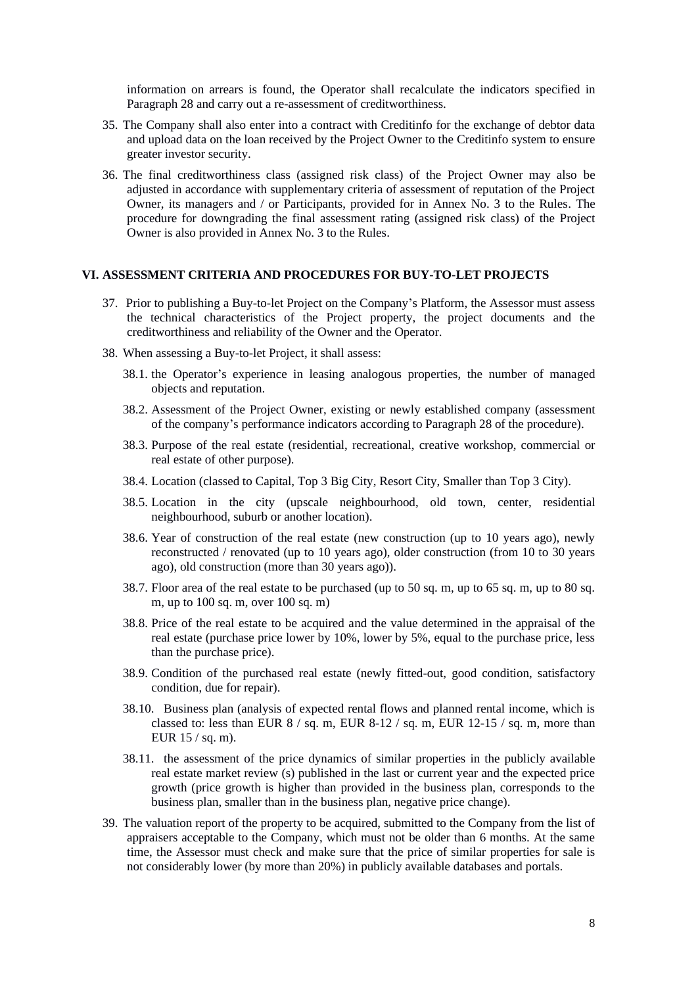information on arrears is found, the Operator shall recalculate the indicators specified in Paragraph [28](#page-5-0) and carry out a re-assessment of creditworthiness.

- 35. The Company shall also enter into a contract with Creditinfo for the exchange of debtor data and upload data on the loan received by the Project Owner to the Creditinfo system to ensure greater investor security.
- 36. The final creditworthiness class (assigned risk class) of the Project Owner may also be adjusted in accordance with supplementary criteria of assessment of reputation of the Project Owner, its managers and / or Participants, provided for in Annex No. 3 to the Rules. The procedure for downgrading the final assessment rating (assigned risk class) of the Project Owner is also provided in Annex No. 3 to the Rules.

#### **VI. ASSESSMENT CRITERIA AND PROCEDURES FOR BUY-TO-LET PROJECTS**

- 37. Prior to publishing a Buy-to-let Project on the Company's Platform, the Assessor must assess the technical characteristics of the Project property, the project documents and the creditworthiness and reliability of the Owner and the Operator.
- 38. When assessing a Buy-to-let Project, it shall assess:
	- 38.1. the Operator's experience in leasing analogous properties, the number of managed objects and reputation.
	- 38.2. Assessment of the Project Owner, existing or newly established company (assessment of the company's performance indicators according to Paragraph 28 of the procedure).
	- 38.3. Purpose of the real estate (residential, recreational, creative workshop, commercial or real estate of other purpose).
	- 38.4. Location (classed to Capital, Top 3 Big City, Resort City, Smaller than Top 3 City).
	- 38.5. Location in the city (upscale neighbourhood, old town, center, residential neighbourhood, suburb or another location).
	- 38.6. Year of construction of the real estate (new construction (up to 10 years ago), newly reconstructed / renovated (up to 10 years ago), older construction (from 10 to 30 years ago), old construction (more than 30 years ago)).
	- 38.7. Floor area of the real estate to be purchased (up to 50 sq. m, up to 65 sq. m, up to 80 sq. m, up to 100 sq. m, over 100 sq. m)
	- 38.8. Price of the real estate to be acquired and the value determined in the appraisal of the real estate (purchase price lower by 10%, lower by 5%, equal to the purchase price, less than the purchase price).
	- 38.9. Condition of the purchased real estate (newly fitted-out, good condition, satisfactory condition, due for repair).
	- 38.10. Business plan (analysis of expected rental flows and planned rental income, which is classed to: less than EUR  $8 / sq$ . m, EUR  $8-12 / sq$ . m, EUR  $12-15 / sq$ . m, more than EUR 15 / sq. m).
	- 38.11. the assessment of the price dynamics of similar properties in the publicly available real estate market review (s) published in the last or current year and the expected price growth (price growth is higher than provided in the business plan, corresponds to the business plan, smaller than in the business plan, negative price change).
- 39. The valuation report of the property to be acquired, submitted to the Company from the list of appraisers acceptable to the Company, which must not be older than 6 months. At the same time, the Assessor must check and make sure that the price of similar properties for sale is not considerably lower (by more than 20%) in publicly available databases and portals.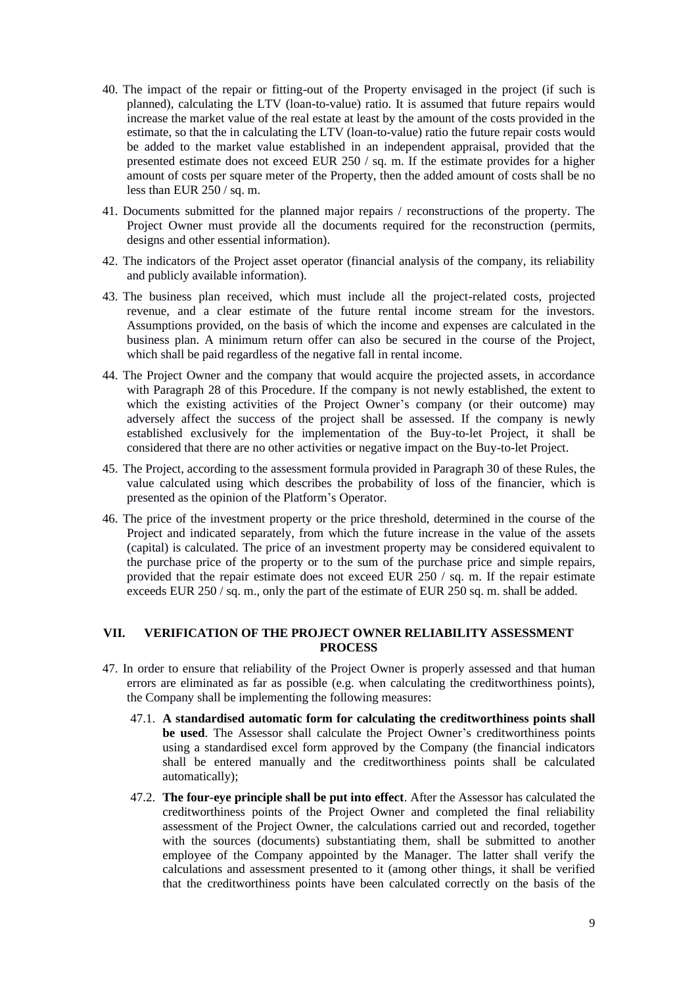- 40. The impact of the repair or fitting-out of the Property envisaged in the project (if such is planned), calculating the LTV (loan-to-value) ratio. It is assumed that future repairs would increase the market value of the real estate at least by the amount of the costs provided in the estimate, so that the in calculating the LTV (loan-to-value) ratio the future repair costs would be added to the market value established in an independent appraisal, provided that the presented estimate does not exceed EUR 250 / sq. m. If the estimate provides for a higher amount of costs per square meter of the Property, then the added amount of costs shall be no less than EUR 250 / sq. m.
- 41. Documents submitted for the planned major repairs / reconstructions of the property. The Project Owner must provide all the documents required for the reconstruction (permits, designs and other essential information).
- 42. The indicators of the Project asset operator (financial analysis of the company, its reliability and publicly available information).
- 43. The business plan received, which must include all the project-related costs, projected revenue, and a clear estimate of the future rental income stream for the investors. Assumptions provided, on the basis of which the income and expenses are calculated in the business plan. A minimum return offer can also be secured in the course of the Project, which shall be paid regardless of the negative fall in rental income.
- 44. The Project Owner and the company that would acquire the projected assets, in accordance with Paragraph 28 of this Procedure. If the company is not newly established, the extent to which the existing activities of the Project Owner's company (or their outcome) may adversely affect the success of the project shall be assessed. If the company is newly established exclusively for the implementation of the Buy-to-let Project, it shall be considered that there are no other activities or negative impact on the Buy-to-let Project.
- 45. The Project, according to the assessment formula provided in Paragraph 30 of these Rules, the value calculated using which describes the probability of loss of the financier, which is presented as the opinion of the Platform's Operator.
- 46. The price of the investment property or the price threshold, determined in the course of the Project and indicated separately, from which the future increase in the value of the assets (capital) is calculated. The price of an investment property may be considered equivalent to the purchase price of the property or to the sum of the purchase price and simple repairs, provided that the repair estimate does not exceed EUR 250 / sq. m. If the repair estimate exceeds EUR 250 / sq. m., only the part of the estimate of EUR 250 sq. m. shall be added.

## **VII. VERIFICATION OF THE PROJECT OWNER RELIABILITY ASSESSMENT PROCESS**

- 47. In order to ensure that reliability of the Project Owner is properly assessed and that human errors are eliminated as far as possible (e.g. when calculating the creditworthiness points), the Company shall be implementing the following measures:
	- 47.1. **A standardised automatic form for calculating the creditworthiness points shall be used**. The Assessor shall calculate the Project Owner's creditworthiness points using a standardised excel form approved by the Company (the financial indicators shall be entered manually and the creditworthiness points shall be calculated automatically);
	- 47.2. **The four-eye principle shall be put into effect**. After the Assessor has calculated the creditworthiness points of the Project Owner and completed the final reliability assessment of the Project Owner, the calculations carried out and recorded, together with the sources (documents) substantiating them, shall be submitted to another employee of the Company appointed by the Manager. The latter shall verify the calculations and assessment presented to it (among other things, it shall be verified that the creditworthiness points have been calculated correctly on the basis of the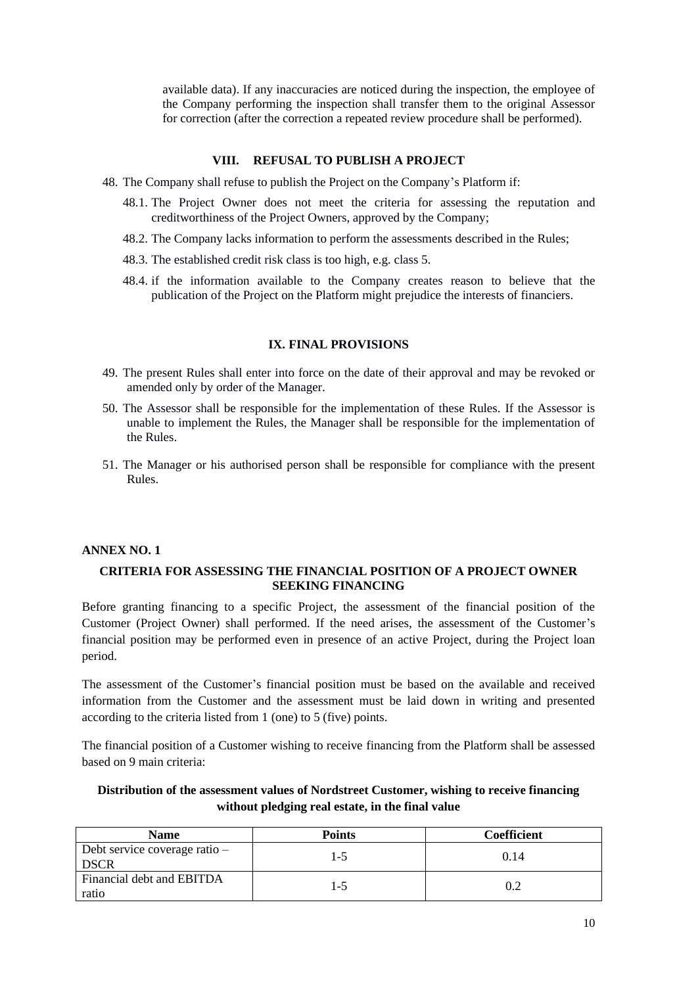available data). If any inaccuracies are noticed during the inspection, the employee of the Company performing the inspection shall transfer them to the original Assessor for correction (after the correction a repeated review procedure shall be performed).

# **VIII. REFUSAL TO PUBLISH A PROJECT**

- 48. The Company shall refuse to publish the Project on the Company's Platform if:
	- 48.1. The Project Owner does not meet the criteria for assessing the reputation and creditworthiness of the Project Owners, approved by the Company;
	- 48.2. The Company lacks information to perform the assessments described in the Rules;
	- 48.3. The established credit risk class is too high, e.g. class 5.
	- 48.4. if the information available to the Company creates reason to believe that the publication of the Project on the Platform might prejudice the interests of financiers.

## **IX. FINAL PROVISIONS**

- 49. The present Rules shall enter into force on the date of their approval and may be revoked or amended only by order of the Manager.
- 50. The Assessor shall be responsible for the implementation of these Rules. If the Assessor is unable to implement the Rules, the Manager shall be responsible for the implementation of the Rules.
- 51. The Manager or his authorised person shall be responsible for compliance with the present Rules.

# **ANNEX NO. 1**

## **CRITERIA FOR ASSESSING THE FINANCIAL POSITION OF A PROJECT OWNER SEEKING FINANCING**

Before granting financing to a specific Project, the assessment of the financial position of the Customer (Project Owner) shall performed. If the need arises, the assessment of the Customer's financial position may be performed even in presence of an active Project, during the Project loan period.

The assessment of the Customer's financial position must be based on the available and received information from the Customer and the assessment must be laid down in writing and presented according to the criteria listed from 1 (one) to 5 (five) points.

The financial position of a Customer wishing to receive financing from the Platform shall be assessed based on 9 main criteria:

## **Distribution of the assessment values of Nordstreet Customer, wishing to receive financing without pledging real estate, in the final value**

| <b>Name</b>                                    | <b>Points</b> | Coefficient |
|------------------------------------------------|---------------|-------------|
| Debt service coverage ratio $-$<br><b>DSCR</b> | l -5          | 0.14        |
| Financial debt and EBITDA<br>ratio             | כ- ا          |             |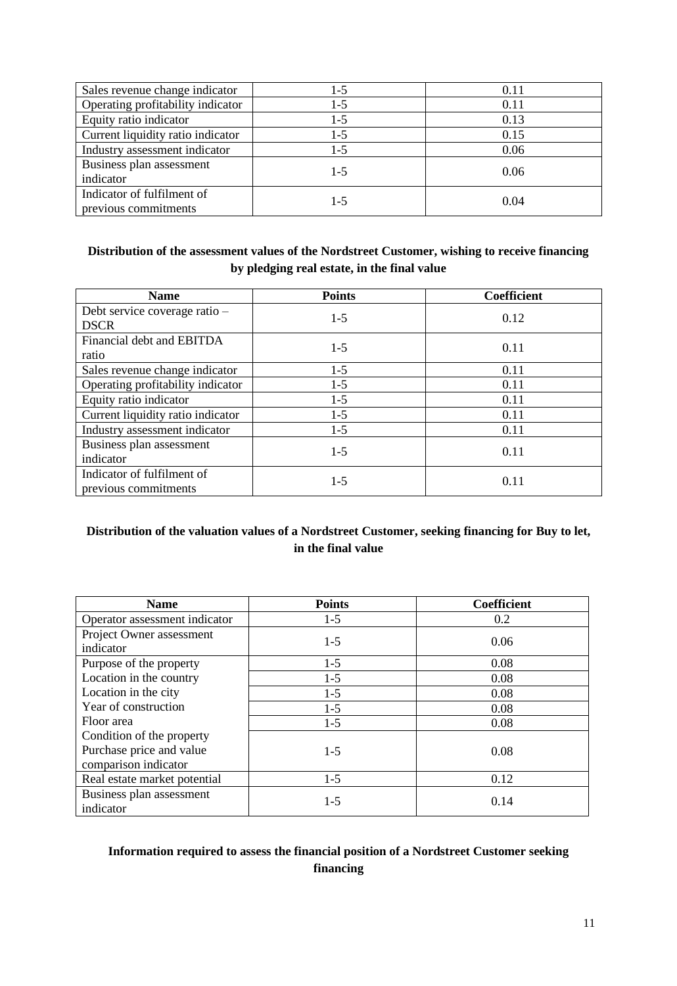| Sales revenue change indicator                     | 1-5   | 0.11 |
|----------------------------------------------------|-------|------|
| Operating profitability indicator                  | $1-5$ | 0.11 |
| Equity ratio indicator                             | 1-5   | 0.13 |
| Current liquidity ratio indicator                  | 1-5   | 0.15 |
| Industry assessment indicator                      | 1-5   | 0.06 |
| Business plan assessment<br>indicator              | $1-5$ | 0.06 |
| Indicator of fulfilment of<br>previous commitments | $1-5$ | 0.04 |

# **Distribution of the assessment values of the Nordstreet Customer, wishing to receive financing by pledging real estate, in the final value**

| <b>Name</b>                                        | <b>Points</b> | <b>Coefficient</b> |
|----------------------------------------------------|---------------|--------------------|
| Debt service coverage ratio -<br><b>DSCR</b>       | $1-5$         | 0.12               |
| Financial debt and EBITDA<br>ratio                 | $1-5$         | 0.11               |
| Sales revenue change indicator                     | $1-5$         | 0.11               |
| Operating profitability indicator                  | $1-5$         | 0.11               |
| Equity ratio indicator                             | $1-5$         | 0.11               |
| Current liquidity ratio indicator                  | $1-5$         | 0.11               |
| Industry assessment indicator                      | $1-5$         | 0.11               |
| Business plan assessment<br>indicator              | $1-5$         | 0.11               |
| Indicator of fulfilment of<br>previous commitments | $1-5$         | 0.11               |

# **Distribution of the valuation values of a Nordstreet Customer, seeking financing for Buy to let, in the final value**

| <b>Name</b>                                      | <b>Points</b> | <b>Coefficient</b> |
|--------------------------------------------------|---------------|--------------------|
| Operator assessment indicator                    | $1-5$         | 0.2                |
| Project Owner assessment<br>indicator            | $1-5$         | 0.06               |
| Purpose of the property                          | $1-5$         | 0.08               |
| Location in the country                          | $1-5$         | 0.08               |
| Location in the city                             | $1 - 5$       | 0.08               |
| Year of construction                             | $1-5$         | 0.08               |
| Floor area                                       | $1-5$         | 0.08               |
| Condition of the property                        |               |                    |
| Purchase price and value<br>comparison indicator | $1-5$         | 0.08               |
| Real estate market potential                     | $1-5$         | 0.12               |
| Business plan assessment<br>indicator            | $1-5$         | 0.14               |

# **Information required to assess the financial position of a Nordstreet Customer seeking financing**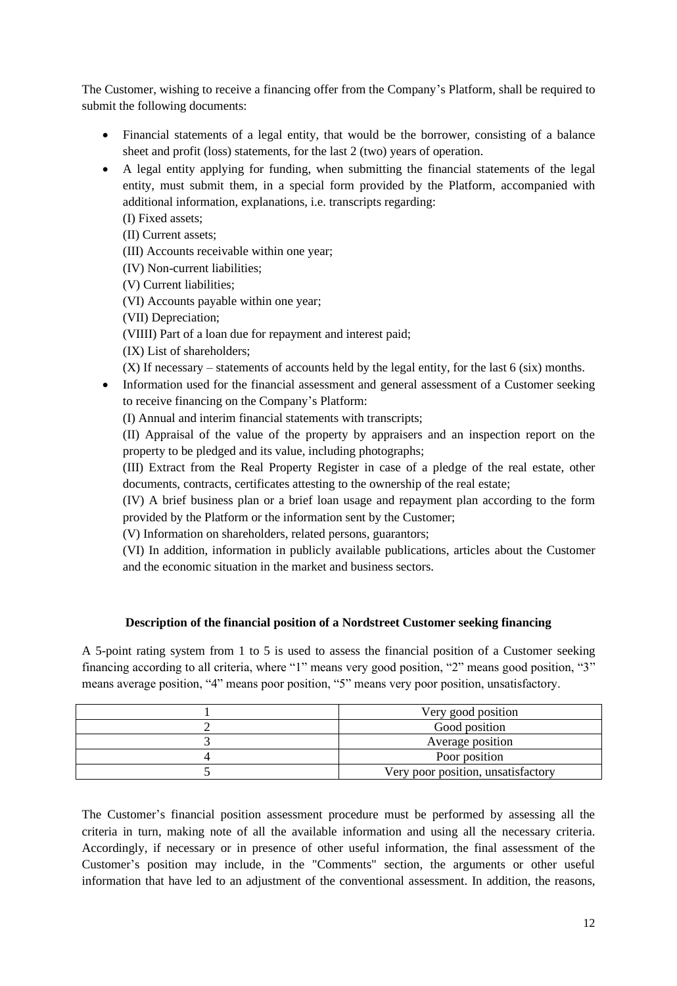The Customer, wishing to receive a financing offer from the Company's Platform, shall be required to submit the following documents:

- Financial statements of a legal entity, that would be the borrower, consisting of a balance sheet and profit (loss) statements, for the last 2 (two) years of operation.
- A legal entity applying for funding, when submitting the financial statements of the legal entity, must submit them, in a special form provided by the Platform, accompanied with additional information, explanations, i.e. transcripts regarding:

(I) Fixed assets;

(II) Current assets;

(III) Accounts receivable within one year;

(IV) Non-current liabilities;

(V) Current liabilities;

(VI) Accounts payable within one year;

(VII) Depreciation;

(VIIII) Part of a loan due for repayment and interest paid;

(IX) List of shareholders;

(X) If necessary – statements of accounts held by the legal entity, for the last 6 (six) months.

• Information used for the financial assessment and general assessment of a Customer seeking to receive financing on the Company's Platform:

(I) Annual and interim financial statements with transcripts;

(II) Appraisal of the value of the property by appraisers and an inspection report on the property to be pledged and its value, including photographs;

(III) Extract from the Real Property Register in case of a pledge of the real estate, other documents, contracts, certificates attesting to the ownership of the real estate;

(IV) A brief business plan or a brief loan usage and repayment plan according to the form provided by the Platform or the information sent by the Customer;

(V) Information on shareholders, related persons, guarantors;

(VI) In addition, information in publicly available publications, articles about the Customer and the economic situation in the market and business sectors.

## **Description of the financial position of a Nordstreet Customer seeking financing**

A 5-point rating system from 1 to 5 is used to assess the financial position of a Customer seeking financing according to all criteria, where "1" means very good position, "2" means good position, "3" means average position, "4" means poor position, "5" means very poor position, unsatisfactory.

| Very good position                 |
|------------------------------------|
| Good position                      |
| Average position                   |
| Poor position                      |
| Very poor position, unsatisfactory |

The Customer's financial position assessment procedure must be performed by assessing all the criteria in turn, making note of all the available information and using all the necessary criteria. Accordingly, if necessary or in presence of other useful information, the final assessment of the Customer's position may include, in the "Comments" section, the arguments or other useful information that have led to an adjustment of the conventional assessment. In addition, the reasons,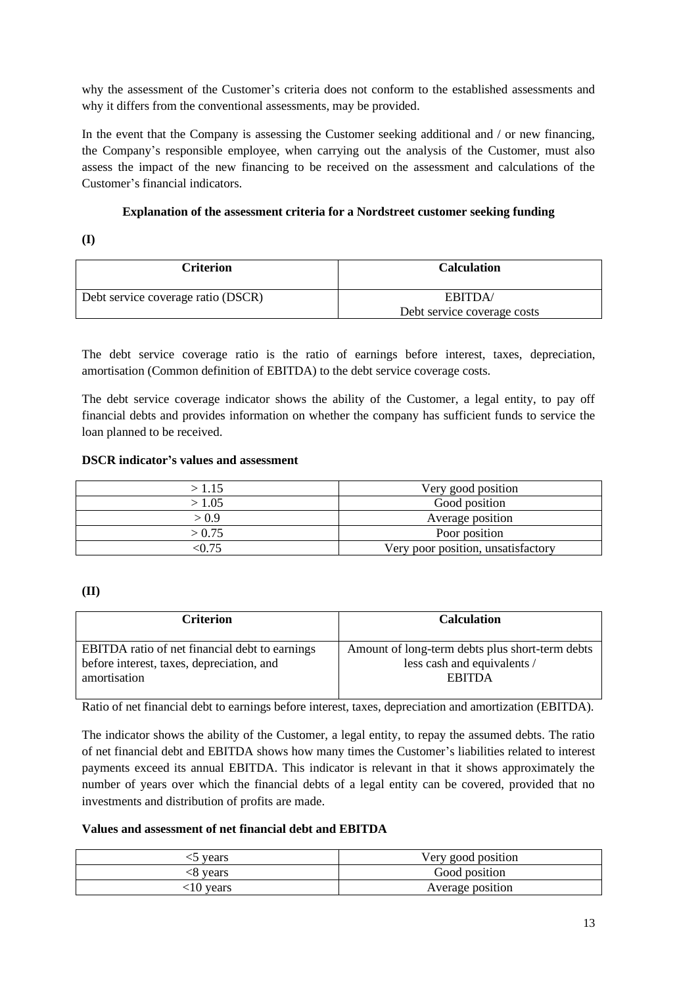why the assessment of the Customer's criteria does not conform to the established assessments and why it differs from the conventional assessments, may be provided.

In the event that the Company is assessing the Customer seeking additional and / or new financing, the Company's responsible employee, when carrying out the analysis of the Customer, must also assess the impact of the new financing to be received on the assessment and calculations of the Customer's financial indicators.

## **Explanation of the assessment criteria for a Nordstreet customer seeking funding**

**(I)**

| <b>Criterion</b>                   | <b>Calculation</b>          |
|------------------------------------|-----------------------------|
| Debt service coverage ratio (DSCR) | EBITDA/                     |
|                                    | Debt service coverage costs |

The debt service coverage ratio is the ratio of earnings before interest, taxes, depreciation, amortisation (Common definition of EBITDA) to the debt service coverage costs.

The debt service coverage indicator shows the ability of the Customer, a legal entity, to pay off financial debts and provides information on whether the company has sufficient funds to service the loan planned to be received.

# **DSCR indicator's values and assessment**

| >1.15  | Very good position                 |
|--------|------------------------------------|
| > 1.05 | Good position                      |
| > 0.9  | Average position                   |
| > 0.75 | Poor position                      |
| 'በ 75  | Very poor position, unsatisfactory |

# **(II)**

| <b>Criterion</b>                               | <b>Calculation</b>                              |
|------------------------------------------------|-------------------------------------------------|
| EBITDA ratio of net financial debt to earnings | Amount of long-term debts plus short-term debts |
| before interest, taxes, depreciation, and      | less cash and equivalents /                     |
| amortisation                                   | <b>EBITDA</b>                                   |

Ratio of net financial debt to earnings before interest, taxes, depreciation and amortization (EBITDA).

The indicator shows the ability of the Customer, a legal entity, to repay the assumed debts. The ratio of net financial debt and EBITDA shows how many times the Customer's liabilities related to interest payments exceed its annual EBITDA. This indicator is relevant in that it shows approximately the number of years over which the financial debts of a legal entity can be covered, provided that no investments and distribution of profits are made.

## **Values and assessment of net financial debt and EBITDA**

| years       | Very good position |
|-------------|--------------------|
| <8 years    | Good position      |
| $.10$ years | Average position   |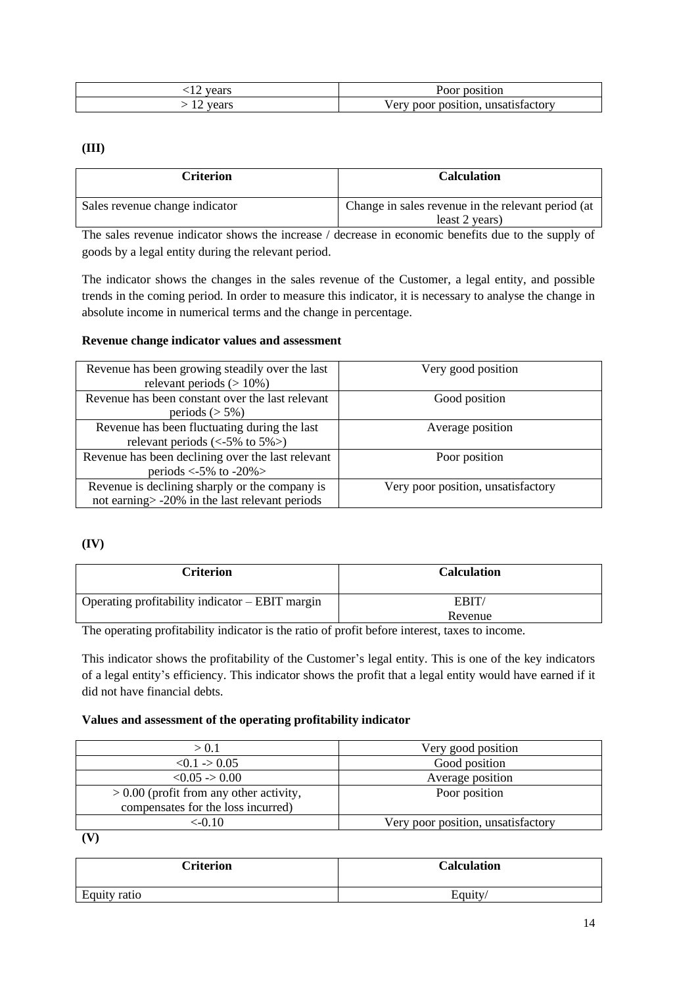| vears | Poor position                             |
|-------|-------------------------------------------|
| vears | poor position.<br>unsatıstactorv<br>/ ery |

# **(III)**

| <b>Criterion</b>               | <b>Calculation</b>                                                   |
|--------------------------------|----------------------------------------------------------------------|
| Sales revenue change indicator | Change in sales revenue in the relevant period (at<br>least 2 years) |

The sales revenue indicator shows the increase / decrease in economic benefits due to the supply of goods by a legal entity during the relevant period.

The indicator shows the changes in the sales revenue of the Customer, a legal entity, and possible trends in the coming period. In order to measure this indicator, it is necessary to analyse the change in absolute income in numerical terms and the change in percentage.

## **Revenue change indicator values and assessment**

| Revenue has been growing steadily over the last<br>relevant periods $(>10\%)$                                               | Very good position                 |
|-----------------------------------------------------------------------------------------------------------------------------|------------------------------------|
| Revenue has been constant over the last relevant<br>periods $(> 5\%)$                                                       | Good position                      |
| Revenue has been fluctuating during the last<br>relevant periods $\left\langle \langle -5\% \rangle \right\rangle$ to 5% >) | Average position                   |
| Revenue has been declining over the last relevant<br>periods $\langle -5\% \rangle$ to $-20\%$                              | Poor position                      |
| Revenue is declining sharply or the company is<br>not earning > -20% in the last relevant periods                           | Very poor position, unsatisfactory |

## **(IV)**

| Criterion                                       | <b>Calculation</b> |
|-------------------------------------------------|--------------------|
| Operating profitability indicator – EBIT margin | EBIT/              |
|                                                 | Revenue            |

The operating profitability indicator is the ratio of profit before interest, taxes to income.

This indicator shows the profitability of the Customer's legal entity. This is one of the key indicators of a legal entity's efficiency. This indicator shows the profit that a legal entity would have earned if it did not have financial debts.

## **Values and assessment of the operating profitability indicator**

| > 0.1                                     | Very good position                 |
|-------------------------------------------|------------------------------------|
| < 0.1 > 0.05                              | Good position                      |
| $< 0.05 \rightarrow 0.00$                 | Average position                   |
| $> 0.00$ (profit from any other activity, | Poor position                      |
| compensates for the loss incurred)        |                                    |
| <-0.10                                    | Very poor position, unsatisfactory |

**(V)**

| <b>Criterion</b> | <b>Calculation</b> |
|------------------|--------------------|
| Equity ratio     | Equity/            |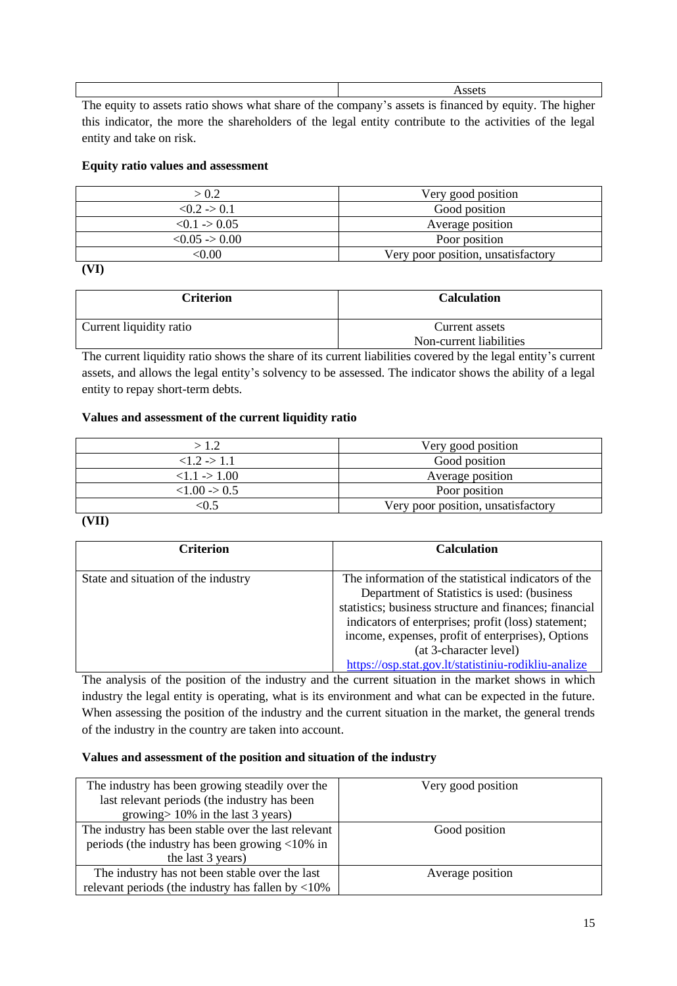| The contexts operate notic electric vilege electric of the commences operate to financial bet context | $\text{The area}$ |
|-------------------------------------------------------------------------------------------------------|-------------------|

The equity to assets ratio shows what share of the company's assets is financed by equity. The higher this indicator, the more the shareholders of the legal entity contribute to the activities of the legal entity and take on risk.

# **Equity ratio values and assessment**

| > 0.2                 | Very good position                 |
|-----------------------|------------------------------------|
| < 0.2 > 0.1           | Good position                      |
| $< 0.1$ -> 0.05       | Average position                   |
| $< 0.05 \approx 0.00$ | Poor position                      |
| ≤0.00                 | Very poor position, unsatisfactory |

**(VI)**

| Criterion               | <b>Calculation</b>      |
|-------------------------|-------------------------|
| Current liquidity ratio | Current assets          |
|                         | Non-current liabilities |

The current liquidity ratio shows the share of its current liabilities covered by the legal entity's current assets, and allows the legal entity's solvency to be assessed. The indicator shows the ability of a legal entity to repay short-term debts.

# **Values and assessment of the current liquidity ratio**

| >1.2                     | Very good position                 |
|--------------------------|------------------------------------|
| $1.2 \div 1.1$           | Good position                      |
| $<1.1 \rightarrow 1.00$  | Average position                   |
| $< 1.00 \rightarrow 0.5$ | Poor position                      |
| ∶0.5                     | Very poor position, unsatisfactory |

**<sup>(</sup>VII)**

| <b>Criterion</b>                    | <b>Calculation</b>                                                                                                                                                                                                                                                                                                                                          |
|-------------------------------------|-------------------------------------------------------------------------------------------------------------------------------------------------------------------------------------------------------------------------------------------------------------------------------------------------------------------------------------------------------------|
| State and situation of the industry | The information of the statistical indicators of the<br>Department of Statistics is used: (business<br>statistics; business structure and finances; financial<br>indicators of enterprises; profit (loss) statement;<br>income, expenses, profit of enterprises), Options<br>(at 3-character level)<br>https://osp.stat.gov.lt/statistiniu-rodikliu-analize |

The analysis of the position of the industry and the current situation in the market shows in which industry the legal entity is operating, what is its environment and what can be expected in the future. When assessing the position of the industry and the current situation in the market, the general trends of the industry in the country are taken into account.

## **Values and assessment of the position and situation of the industry**

| The industry has been growing steadily over the                  | Very good position |
|------------------------------------------------------------------|--------------------|
| last relevant periods (the industry has been                     |                    |
| growing $> 10\%$ in the last 3 years)                            |                    |
| The industry has been stable over the last relevant              | Good position      |
| periods (the industry has been growing $\langle 10\% \rangle$ in |                    |
| the last 3 years)                                                |                    |
| The industry has not been stable over the last                   | Average position   |
| relevant periods (the industry has fallen by $\langle 10\%$ )    |                    |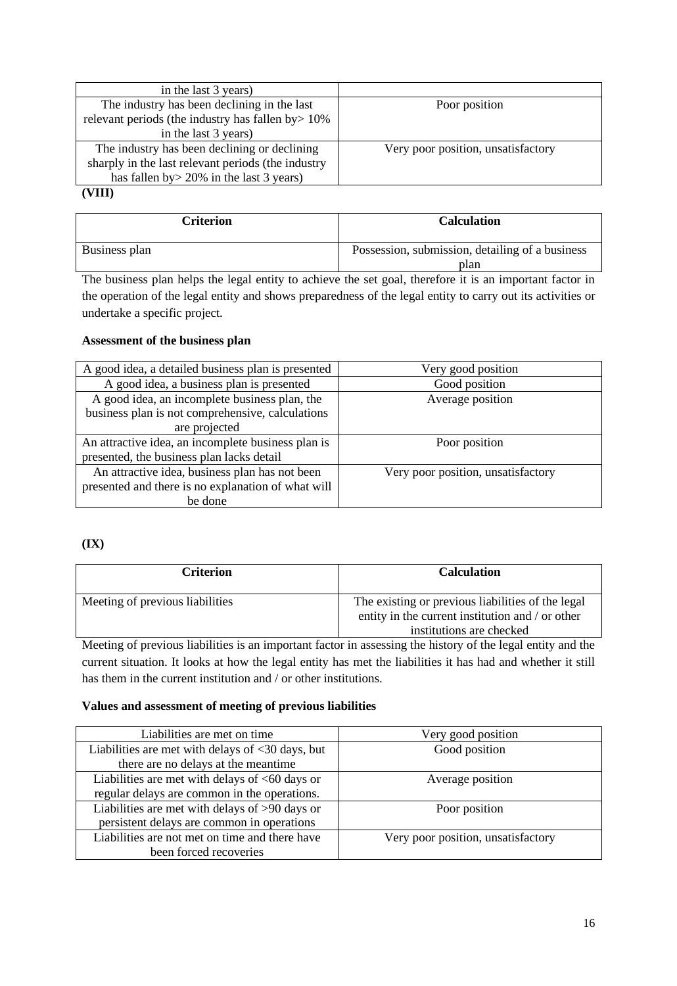| in the last 3 years)                               |                                    |
|----------------------------------------------------|------------------------------------|
| The industry has been declining in the last        | Poor position                      |
| relevant periods (the industry has fallen by > 10% |                                    |
| in the last 3 years)                               |                                    |
| The industry has been declining or declining       | Very poor position, unsatisfactory |
| sharply in the last relevant periods (the industry |                                    |
| has fallen by $>$ 20% in the last 3 years)         |                                    |
| $\alpha\pi\mathbf{r}$                              |                                    |

## **(VIII)**

| Criterion     | <b>Calculation</b>                              |
|---------------|-------------------------------------------------|
| Business plan | Possession, submission, detailing of a business |
|               | plan                                            |

The business plan helps the legal entity to achieve the set goal, therefore it is an important factor in the operation of the legal entity and shows preparedness of the legal entity to carry out its activities or undertake a specific project.

# **Assessment of the business plan**

| A good idea, a detailed business plan is presented | Very good position                 |
|----------------------------------------------------|------------------------------------|
| A good idea, a business plan is presented          | Good position                      |
| A good idea, an incomplete business plan, the      | Average position                   |
| business plan is not comprehensive, calculations   |                                    |
| are projected                                      |                                    |
| An attractive idea, an incomplete business plan is | Poor position                      |
| presented, the business plan lacks detail          |                                    |
| An attractive idea, business plan has not been     | Very poor position, unsatisfactory |
| presented and there is no explanation of what will |                                    |
| be done                                            |                                    |

# **(IX)**

| <b>Criterion</b>                | <b>Calculation</b>                                                                                                                |
|---------------------------------|-----------------------------------------------------------------------------------------------------------------------------------|
| Meeting of previous liabilities | The existing or previous liabilities of the legal<br>entity in the current institution and / or other<br>institutions are checked |

Meeting of previous liabilities is an important factor in assessing the history of the legal entity and the current situation. It looks at how the legal entity has met the liabilities it has had and whether it still has them in the current institution and / or other institutions.

## **Values and assessment of meeting of previous liabilities**

| Liabilities are met on time.                                      | Very good position                 |
|-------------------------------------------------------------------|------------------------------------|
| Liabilities are met with delays of $\langle 30 \rangle$ days, but | Good position                      |
| there are no delays at the meantime                               |                                    |
| Liabilities are met with delays of $<60$ days or                  | Average position                   |
| regular delays are common in the operations.                      |                                    |
| Liabilities are met with delays of >90 days or                    | Poor position                      |
| persistent delays are common in operations                        |                                    |
| Liabilities are not met on time and there have                    | Very poor position, unsatisfactory |
| been forced recoveries                                            |                                    |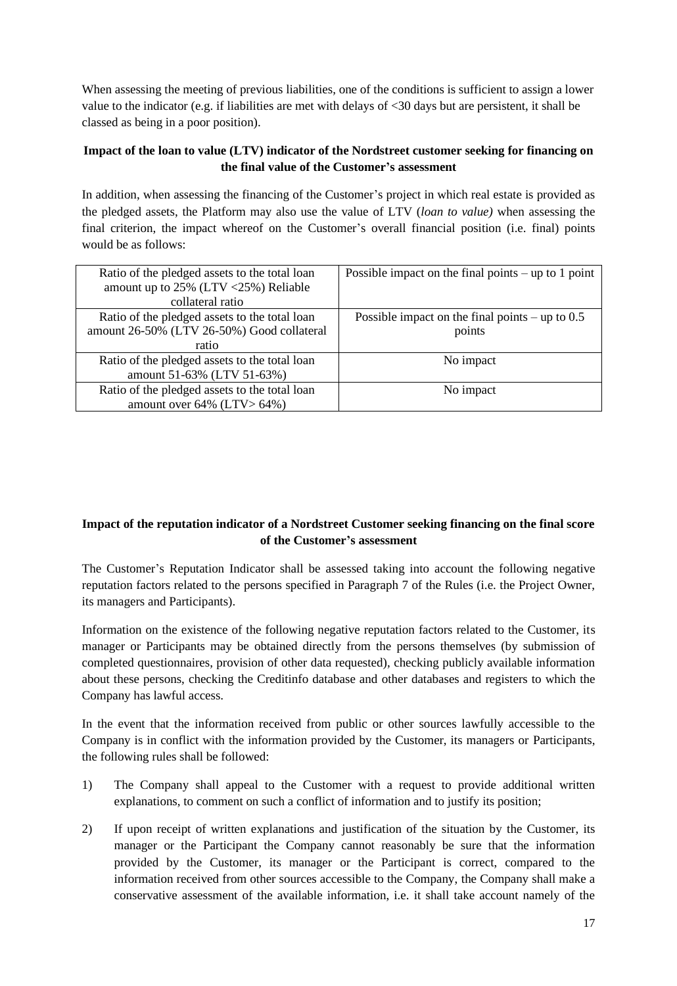When assessing the meeting of previous liabilities, one of the conditions is sufficient to assign a lower value to the indicator (e.g. if liabilities are met with delays of <30 days but are persistent, it shall be classed as being in a poor position).

# **Impact of the loan to value (LTV) indicator of the Nordstreet customer seeking for financing on the final value of the Customer's assessment**

In addition, when assessing the financing of the Customer's project in which real estate is provided as the pledged assets, the Platform may also use the value of LTV (*loan to value)* when assessing the final criterion, the impact whereof on the Customer's overall financial position (i.e. final) points would be as follows:

| Ratio of the pledged assets to the total loan | Possible impact on the final points $-$ up to 1 point |
|-----------------------------------------------|-------------------------------------------------------|
| amount up to $25\%$ (LTV < $25\%$ ) Reliable  |                                                       |
| collateral ratio                              |                                                       |
| Ratio of the pledged assets to the total loan | Possible impact on the final points – up to $0.5$     |
| amount 26-50% (LTV 26-50%) Good collateral    | points                                                |
| ratio                                         |                                                       |
| Ratio of the pledged assets to the total loan | No impact                                             |
| amount 51-63% (LTV 51-63%)                    |                                                       |
| Ratio of the pledged assets to the total loan | No impact                                             |
| amount over $64\%$ (LTV > $64\%$ )            |                                                       |

# **Impact of the reputation indicator of a Nordstreet Customer seeking financing on the final score of the Customer's assessment**

The Customer's Reputation Indicator shall be assessed taking into account the following negative reputation factors related to the persons specified in Paragraph 7 of the Rules (i.e. the Project Owner, its managers and Participants).

Information on the existence of the following negative reputation factors related to the Customer, its manager or Participants may be obtained directly from the persons themselves (by submission of completed questionnaires, provision of other data requested), checking publicly available information about these persons, checking the Creditinfo database and other databases and registers to which the Company has lawful access.

In the event that the information received from public or other sources lawfully accessible to the Company is in conflict with the information provided by the Customer, its managers or Participants, the following rules shall be followed:

- 1) The Company shall appeal to the Customer with a request to provide additional written explanations, to comment on such a conflict of information and to justify its position;
- 2) If upon receipt of written explanations and justification of the situation by the Customer, its manager or the Participant the Company cannot reasonably be sure that the information provided by the Customer, its manager or the Participant is correct, compared to the information received from other sources accessible to the Company, the Company shall make a conservative assessment of the available information, i.e. it shall take account namely of the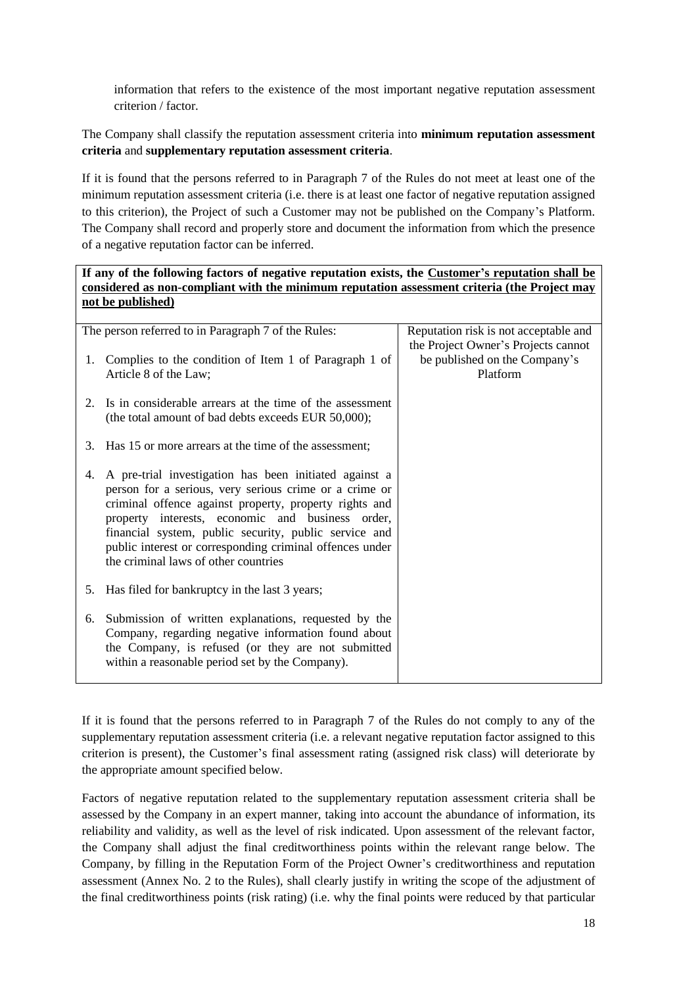information that refers to the existence of the most important negative reputation assessment criterion / factor.

The Company shall classify the reputation assessment criteria into **minimum reputation assessment criteria** and **supplementary reputation assessment criteria**.

If it is found that the persons referred to in Paragraph 7 of the Rules do not meet at least one of the minimum reputation assessment criteria (i.e. there is at least one factor of negative reputation assigned to this criterion), the Project of such a Customer may not be published on the Company's Platform. The Company shall record and properly store and document the information from which the presence of a negative reputation factor can be inferred.

# **If any of the following factors of negative reputation exists, the Customer's reputation shall be considered as non-compliant with the minimum reputation assessment criteria (the Project may not be published)**

|    | The person referred to in Paragraph 7 of the Rules:                                                                                                                                                                                                                                                                                                                                         | Reputation risk is not acceptable and                                            |
|----|---------------------------------------------------------------------------------------------------------------------------------------------------------------------------------------------------------------------------------------------------------------------------------------------------------------------------------------------------------------------------------------------|----------------------------------------------------------------------------------|
| 1. | Complies to the condition of Item 1 of Paragraph 1 of<br>Article 8 of the Law;                                                                                                                                                                                                                                                                                                              | the Project Owner's Projects cannot<br>be published on the Company's<br>Platform |
| 2. | Is in considerable arrears at the time of the assessment<br>(the total amount of bad debts exceeds EUR 50,000);                                                                                                                                                                                                                                                                             |                                                                                  |
|    | 3. Has 15 or more arrears at the time of the assessment;                                                                                                                                                                                                                                                                                                                                    |                                                                                  |
| 4. | A pre-trial investigation has been initiated against a<br>person for a serious, very serious crime or a crime or<br>criminal offence against property, property rights and<br>property interests, economic and business order,<br>financial system, public security, public service and<br>public interest or corresponding criminal offences under<br>the criminal laws of other countries |                                                                                  |
| 5. | Has filed for bankruptcy in the last 3 years;                                                                                                                                                                                                                                                                                                                                               |                                                                                  |
| 6. | Submission of written explanations, requested by the<br>Company, regarding negative information found about<br>the Company, is refused (or they are not submitted<br>within a reasonable period set by the Company).                                                                                                                                                                        |                                                                                  |

If it is found that the persons referred to in Paragraph 7 of the Rules do not comply to any of the supplementary reputation assessment criteria (i.e. a relevant negative reputation factor assigned to this criterion is present), the Customer's final assessment rating (assigned risk class) will deteriorate by the appropriate amount specified below.

Factors of negative reputation related to the supplementary reputation assessment criteria shall be assessed by the Company in an expert manner, taking into account the abundance of information, its reliability and validity, as well as the level of risk indicated. Upon assessment of the relevant factor, the Company shall adjust the final creditworthiness points within the relevant range below. The Company, by filling in the Reputation Form of the Project Owner's creditworthiness and reputation assessment (Annex No. 2 to the Rules), shall clearly justify in writing the scope of the adjustment of the final creditworthiness points (risk rating) (i.e. why the final points were reduced by that particular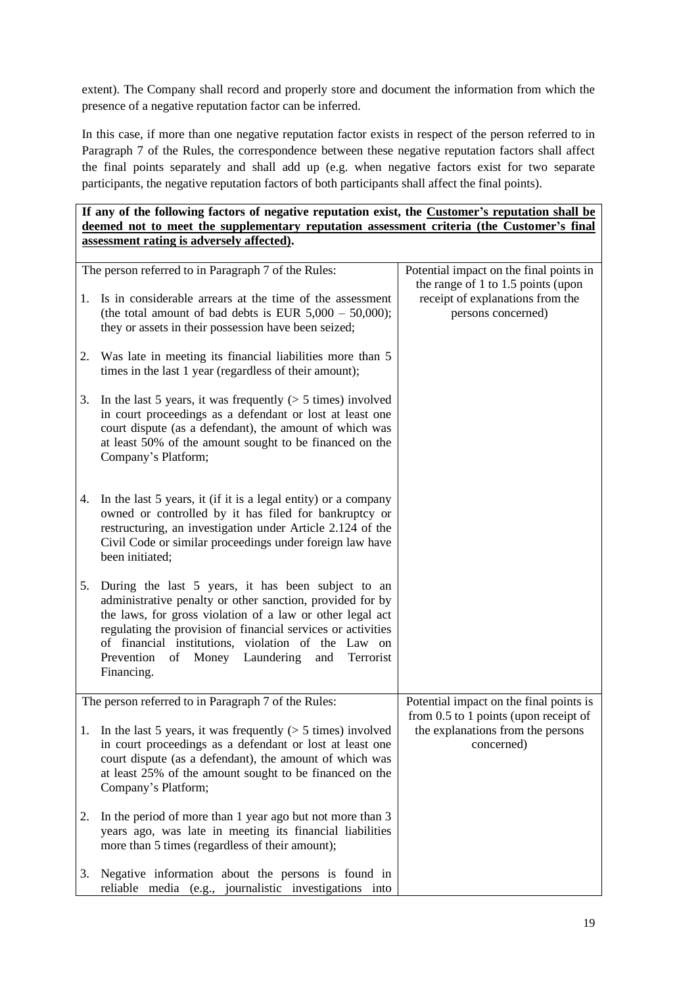extent). The Company shall record and properly store and document the information from which the presence of a negative reputation factor can be inferred.

In this case, if more than one negative reputation factor exists in respect of the person referred to in Paragraph 7 of the Rules, the correspondence between these negative reputation factors shall affect the final points separately and shall add up (e.g. when negative factors exist for two separate participants, the negative reputation factors of both participants shall affect the final points).

# **If any of the following factors of negative reputation exist, the Customer's reputation shall be deemed not to meet the supplementary reputation assessment criteria (the Customer's final assessment rating is adversely affected).**

|    | The person referred to in Paragraph 7 of the Rules:                                                                                                                                                                                                                                                                                                                    | Potential impact on the final points in<br>the range of 1 to 1.5 points (upon            |
|----|------------------------------------------------------------------------------------------------------------------------------------------------------------------------------------------------------------------------------------------------------------------------------------------------------------------------------------------------------------------------|------------------------------------------------------------------------------------------|
| 1. | Is in considerable arrears at the time of the assessment<br>(the total amount of bad debts is EUR $5,000 - 50,000$ );<br>they or assets in their possession have been seized;                                                                                                                                                                                          | receipt of explanations from the<br>persons concerned)                                   |
|    | 2. Was late in meeting its financial liabilities more than 5<br>times in the last 1 year (regardless of their amount);                                                                                                                                                                                                                                                 |                                                                                          |
| 3. | In the last 5 years, it was frequently $(> 5 \times 5)$ involved<br>in court proceedings as a defendant or lost at least one<br>court dispute (as a defendant), the amount of which was<br>at least 50% of the amount sought to be financed on the<br>Company's Platform;                                                                                              |                                                                                          |
| 4. | In the last 5 years, it (if it is a legal entity) or a company<br>owned or controlled by it has filed for bankruptcy or<br>restructuring, an investigation under Article 2.124 of the<br>Civil Code or similar proceedings under foreign law have<br>been initiated;                                                                                                   |                                                                                          |
| 5. | During the last 5 years, it has been subject to an<br>administrative penalty or other sanction, provided for by<br>the laws, for gross violation of a law or other legal act<br>regulating the provision of financial services or activities<br>of financial institutions, violation of the Law on<br>Prevention<br>of Money Laundering and<br>Terrorist<br>Financing. |                                                                                          |
|    | The person referred to in Paragraph 7 of the Rules:                                                                                                                                                                                                                                                                                                                    | Potential impact on the final points is                                                  |
|    | 1. In the last 5 years, it was frequently $($ > 5 times) involved<br>in court proceedings as a defendant or lost at least one<br>court dispute (as a defendant), the amount of which was<br>at least 25% of the amount sought to be financed on the<br>Company's Platform;                                                                                             | from 0.5 to 1 points (upon receipt of<br>the explanations from the persons<br>concerned) |
| 2. | In the period of more than 1 year ago but not more than 3<br>years ago, was late in meeting its financial liabilities<br>more than 5 times (regardless of their amount);                                                                                                                                                                                               |                                                                                          |
|    | 3. Negative information about the persons is found in<br>reliable media (e.g., journalistic investigations into                                                                                                                                                                                                                                                        |                                                                                          |